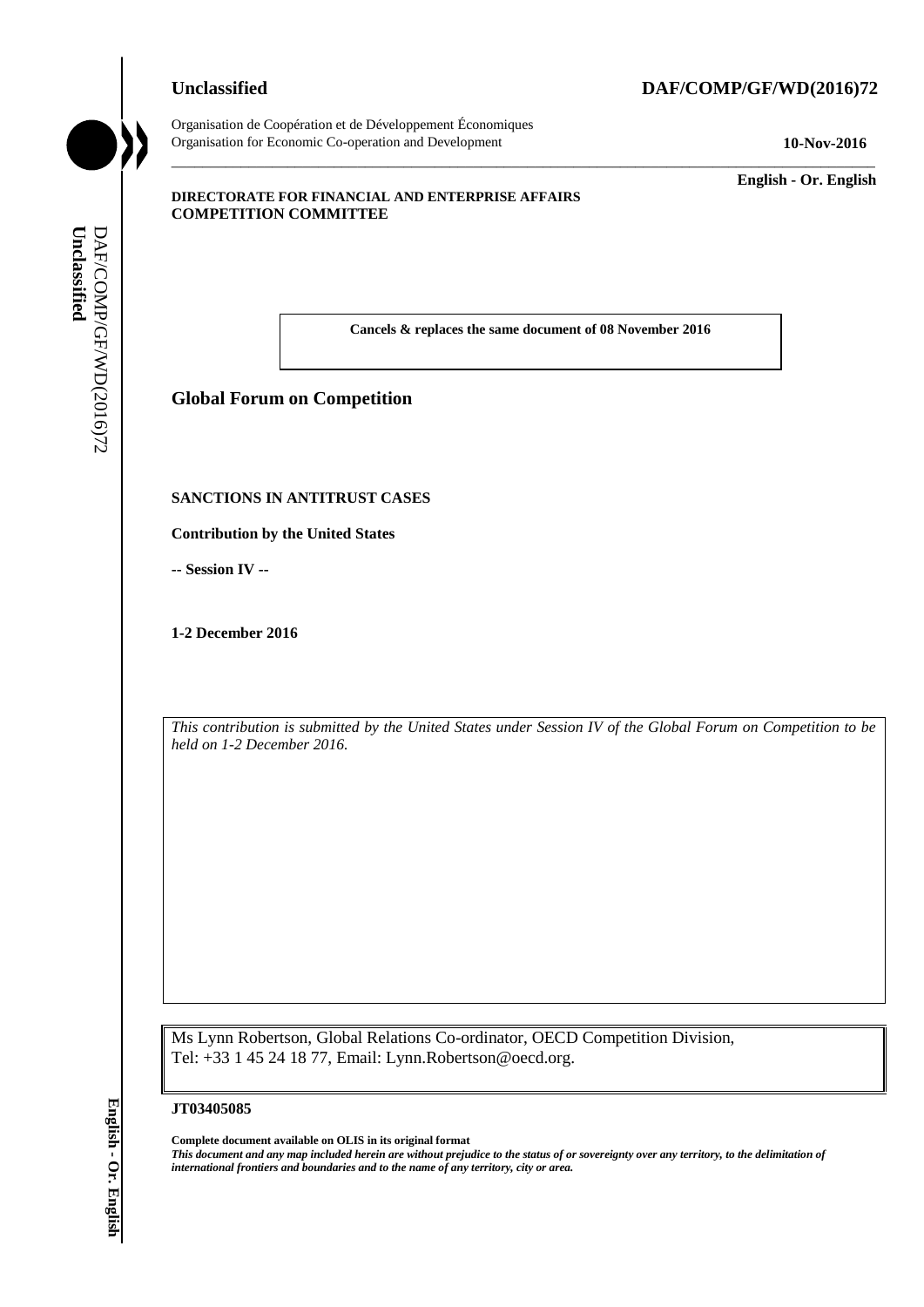## **Unclassified DAF/COMP/GF/WD(2016)72**



Organisation de Coopération et de Développement Économiques Organisation for Economic Co-operation and Development **10-Nov-2016**

\_\_\_\_\_\_\_\_\_\_\_\_\_ **English - Or. English**

#### **DIRECTORATE FOR FINANCIAL AND ENTERPRISE AFFAIRS COMPETITION COMMITTEE**

**Cancels & replaces the same document of 08 November 2016**

\_\_\_\_\_\_\_\_\_\_\_\_\_\_\_\_\_\_\_\_\_\_\_\_\_\_\_\_\_\_\_\_\_\_\_\_\_\_\_\_\_\_\_\_\_\_\_\_\_\_\_\_\_\_\_\_\_\_\_\_\_\_\_\_\_\_\_\_\_\_\_\_\_\_\_\_\_\_\_\_\_\_\_\_\_\_\_\_\_\_\_

# **Global Forum on Competition**

#### **SANCTIONS IN ANTITRUST CASES**

**Contribution by the United States**

**-- Session IV --**

**1-2 December 2016**

*This contribution is submitted by the United States under Session IV of the Global Forum on Competition to be held on 1-2 December 2016.*

Ms Lynn Robertson, Global Relations Co-ordinator, OECD Competition Division, Tel: +33 1 45 24 18 77, Email: Lynn.Robertson@oecd.org.

#### **JT03405085**

**Complete document available on OLIS in its original format** *This document and any map included herein are without prejudice to the status of or sovereignty over any territory, to the delimitation of*  **i Cancels & replaces the same document of any term of any term of any term of any term of any term of any term of any term of any term of any term of any term of any term of any term of any term of any term of any term**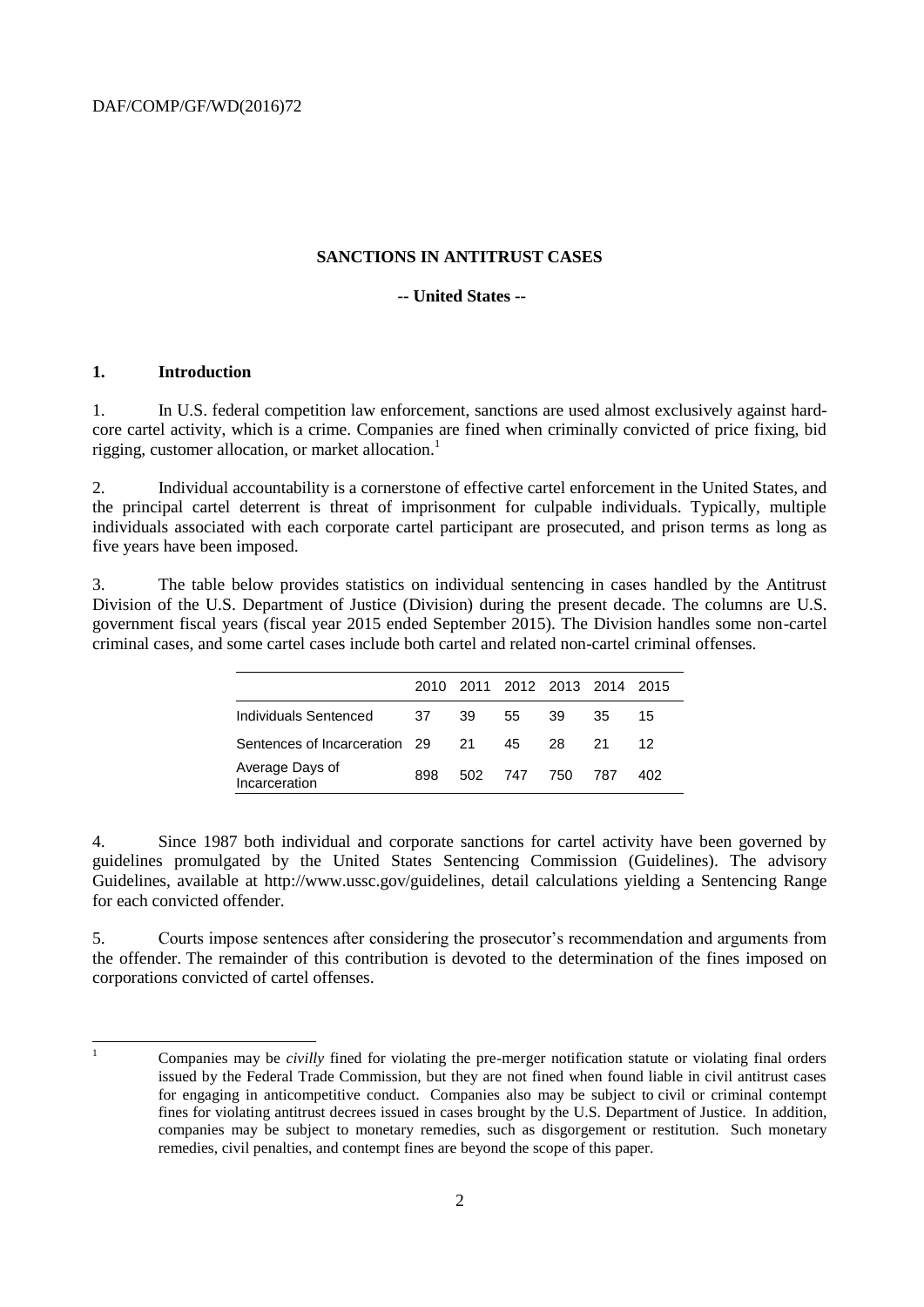#### **SANCTIONS IN ANTITRUST CASES**

## **-- United States --**

#### **1. Introduction**

1. In U.S. federal competition law enforcement, sanctions are used almost exclusively against hardcore cartel activity, which is a crime. Companies are fined when criminally convicted of price fixing, bid rigging, customer allocation, or market allocation.<sup>1</sup>

2. Individual accountability is a cornerstone of effective cartel enforcement in the United States, and the principal cartel deterrent is threat of imprisonment for culpable individuals. Typically, multiple individuals associated with each corporate cartel participant are prosecuted, and prison terms as long as five years have been imposed.

3. The table below provides statistics on individual sentencing in cases handled by the Antitrust Division of the U.S. Department of Justice (Division) during the present decade. The columns are U.S. government fiscal years (fiscal year 2015 ended September 2015). The Division handles some non-cartel criminal cases, and some cartel cases include both cartel and related non-cartel criminal offenses.

|                                  |      |     | 2010 2011 2012 2013 2014 2015 |      |     |     |
|----------------------------------|------|-----|-------------------------------|------|-----|-----|
| Individuals Sentenced            | - 37 | -39 | 55                            | 39   | 35  | 15  |
| Sentences of Incarceration 29 21 |      |     | 45                            | - 28 | -21 | 12. |
| Average Days of<br>Incarceration | 898  |     | 502 747 750                   |      | 787 | 402 |

4. Since 1987 both individual and corporate sanctions for cartel activity have been governed by guidelines promulgated by the United States Sentencing Commission (Guidelines). The advisory Guidelines, available at http://www.ussc.gov/guidelines, detail calculations yielding a Sentencing Range for each convicted offender.

5. Courts impose sentences after considering the prosecutor's recommendation and arguments from the offender. The remainder of this contribution is devoted to the determination of the fines imposed on corporations convicted of cartel offenses.

 $\mathbf{1}$ 

<sup>1</sup> Companies may be *civilly* fined for violating the pre-merger notification statute or violating final orders issued by the Federal Trade Commission, but they are not fined when found liable in civil antitrust cases for engaging in anticompetitive conduct. Companies also may be subject to civil or criminal contempt fines for violating antitrust decrees issued in cases brought by the U.S. Department of Justice. In addition, companies may be subject to monetary remedies, such as disgorgement or restitution. Such monetary remedies, civil penalties, and contempt fines are beyond the scope of this paper.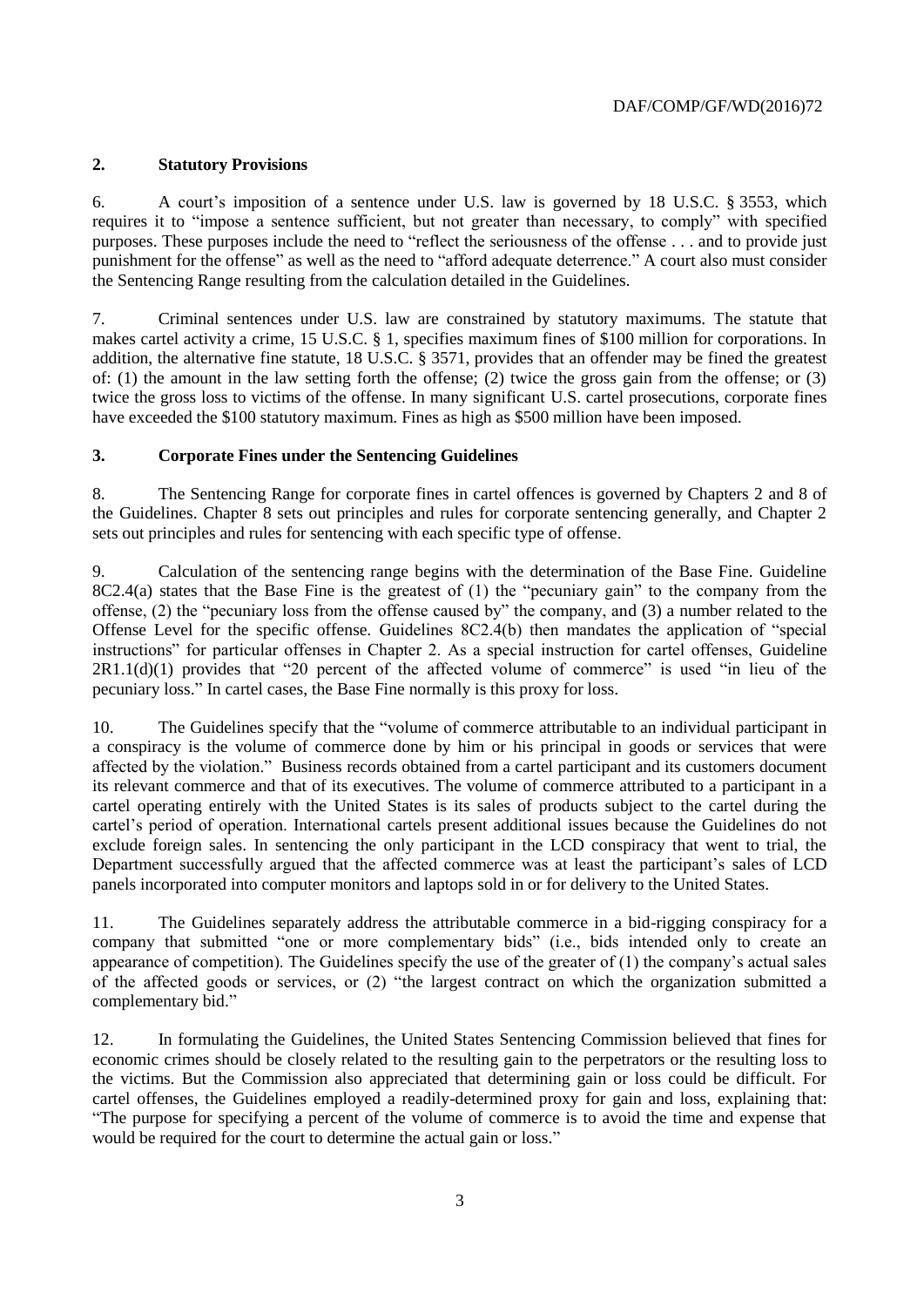## **2. Statutory Provisions**

6. A court's imposition of a sentence under U.S. law is governed by 18 U.S.C. § 3553, which requires it to "impose a sentence sufficient, but not greater than necessary, to comply" with specified purposes. These purposes include the need to "reflect the seriousness of the offense . . . and to provide just punishment for the offense" as well as the need to "afford adequate deterrence." A court also must consider the Sentencing Range resulting from the calculation detailed in the Guidelines.

7. Criminal sentences under U.S. law are constrained by statutory maximums. The statute that makes cartel activity a crime, 15 U.S.C. § 1, specifies maximum fines of \$100 million for corporations. In addition, the alternative fine statute, 18 U.S.C. § 3571, provides that an offender may be fined the greatest of: (1) the amount in the law setting forth the offense; (2) twice the gross gain from the offense; or (3) twice the gross loss to victims of the offense. In many significant U.S. cartel prosecutions, corporate fines have exceeded the \$100 statutory maximum. Fines as high as \$500 million have been imposed.

## **3. Corporate Fines under the Sentencing Guidelines**

8. The Sentencing Range for corporate fines in cartel offences is governed by Chapters 2 and 8 of the Guidelines. Chapter 8 sets out principles and rules for corporate sentencing generally, and Chapter 2 sets out principles and rules for sentencing with each specific type of offense.

9. Calculation of the sentencing range begins with the determination of the Base Fine. Guideline 8C2.4(a) states that the Base Fine is the greatest of (1) the "pecuniary gain" to the company from the offense, (2) the "pecuniary loss from the offense caused by" the company, and (3) a number related to the Offense Level for the specific offense. Guidelines 8C2.4(b) then mandates the application of "special instructions" for particular offenses in Chapter 2. As a special instruction for cartel offenses, Guideline 2R1.1(d)(1) provides that "20 percent of the affected volume of commerce" is used "in lieu of the pecuniary loss." In cartel cases, the Base Fine normally is this proxy for loss.

10. The Guidelines specify that the "volume of commerce attributable to an individual participant in a conspiracy is the volume of commerce done by him or his principal in goods or services that were affected by the violation." Business records obtained from a cartel participant and its customers document its relevant commerce and that of its executives. The volume of commerce attributed to a participant in a cartel operating entirely with the United States is its sales of products subject to the cartel during the cartel's period of operation. International cartels present additional issues because the Guidelines do not exclude foreign sales. In sentencing the only participant in the LCD conspiracy that went to trial, the Department successfully argued that the affected commerce was at least the participant's sales of LCD panels incorporated into computer monitors and laptops sold in or for delivery to the United States.

11. The Guidelines separately address the attributable commerce in a bid-rigging conspiracy for a company that submitted "one or more complementary bids" (i.e., bids intended only to create an appearance of competition). The Guidelines specify the use of the greater of (1) the company's actual sales of the affected goods or services, or (2) "the largest contract on which the organization submitted a complementary bid."

12. In formulating the Guidelines, the United States Sentencing Commission believed that fines for economic crimes should be closely related to the resulting gain to the perpetrators or the resulting loss to the victims. But the Commission also appreciated that determining gain or loss could be difficult. For cartel offenses, the Guidelines employed a readily-determined proxy for gain and loss, explaining that: "The purpose for specifying a percent of the volume of commerce is to avoid the time and expense that would be required for the court to determine the actual gain or loss."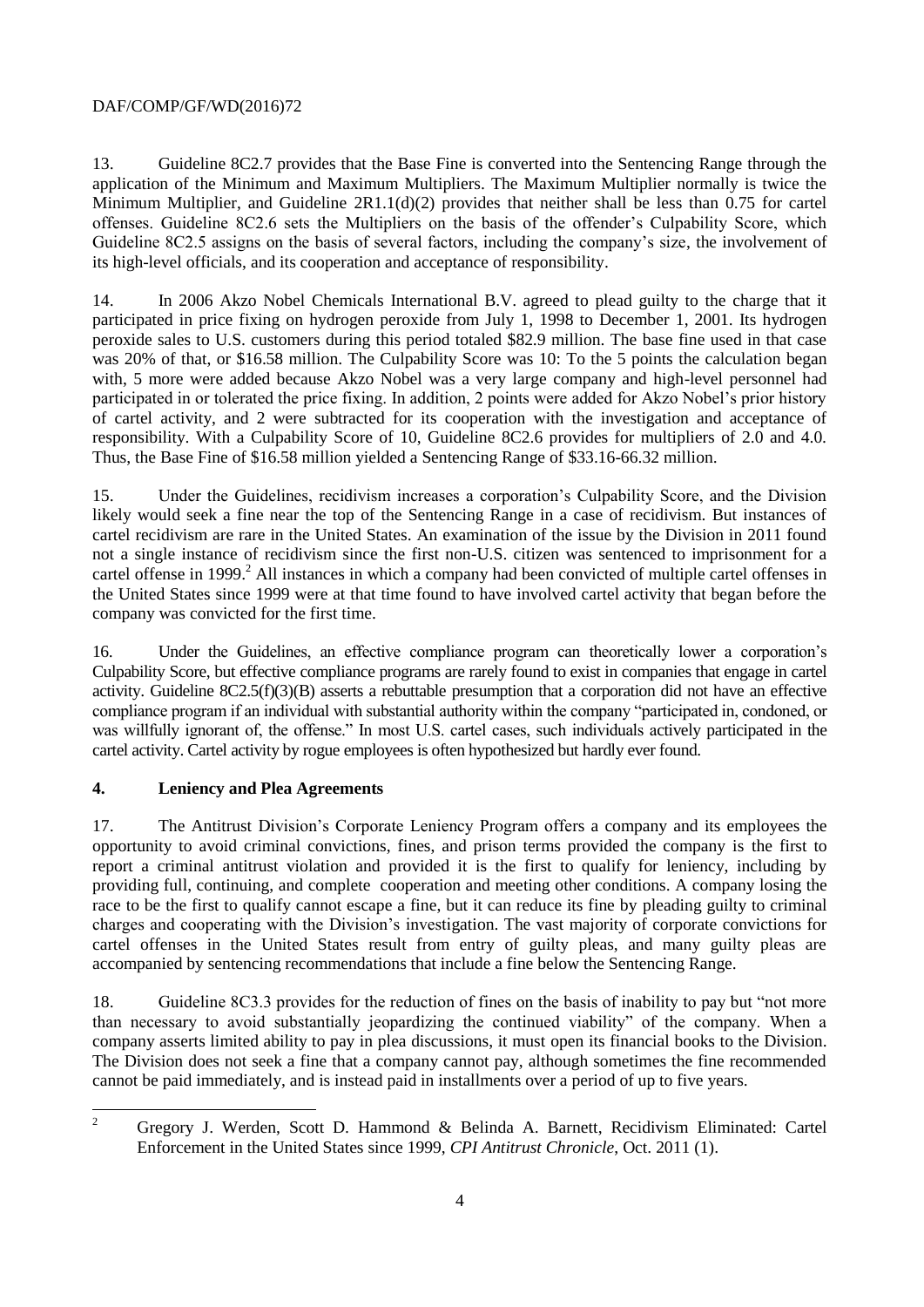# DAF/COMP/GF/WD(2016)72

13. Guideline 8C2.7 provides that the Base Fine is converted into the Sentencing Range through the application of the Minimum and Maximum Multipliers. The Maximum Multiplier normally is twice the Minimum Multiplier, and Guideline 2R1.1(d)(2) provides that neither shall be less than 0.75 for cartel offenses. Guideline 8C2.6 sets the Multipliers on the basis of the offender's Culpability Score, which Guideline 8C2.5 assigns on the basis of several factors, including the company's size, the involvement of its high-level officials, and its cooperation and acceptance of responsibility.

14. In 2006 Akzo Nobel Chemicals International B.V. agreed to plead guilty to the charge that it participated in price fixing on hydrogen peroxide from July 1, 1998 to December 1, 2001. Its hydrogen peroxide sales to U.S. customers during this period totaled \$82.9 million. The base fine used in that case was 20% of that, or \$16.58 million. The Culpability Score was 10: To the 5 points the calculation began with, 5 more were added because Akzo Nobel was a very large company and high-level personnel had participated in or tolerated the price fixing. In addition, 2 points were added for Akzo Nobel's prior history of cartel activity, and 2 were subtracted for its cooperation with the investigation and acceptance of responsibility. With a Culpability Score of 10, Guideline 8C2.6 provides for multipliers of 2.0 and 4.0. Thus, the Base Fine of \$16.58 million yielded a Sentencing Range of \$33.16-66.32 million.

15. Under the Guidelines, recidivism increases a corporation's Culpability Score, and the Division likely would seek a fine near the top of the Sentencing Range in a case of recidivism. But instances of cartel recidivism are rare in the United States. An examination of the issue by the Division in 2011 found not a single instance of recidivism since the first non-U.S. citizen was sentenced to imprisonment for a cartel offense in 1999.<sup>2</sup> All instances in which a company had been convicted of multiple cartel offenses in the United States since 1999 were at that time found to have involved cartel activity that began before the company was convicted for the first time.

16. Under the Guidelines, an effective compliance program can theoretically lower a corporation's Culpability Score, but effective compliance programs are rarely found to exist in companies that engage in cartel activity. Guideline 8C2.5(f)(3)(B) asserts a rebuttable presumption that a corporation did not have an effective compliance program if an individual with substantial authority within the company "participated in, condoned, or was willfully ignorant of, the offense." In most U.S. cartel cases, such individuals actively participated in the cartel activity. Cartel activity by rogue employees is often hypothesized but hardly ever found.

#### **4. Leniency and Plea Agreements**

17. The Antitrust Division's Corporate Leniency Program offers a company and its employees the opportunity to avoid criminal convictions, fines, and prison terms provided the company is the first to report a criminal antitrust violation and provided it is the first to qualify for leniency, including by providing full, continuing, and complete cooperation and meeting other conditions. A company losing the race to be the first to qualify cannot escape a fine, but it can reduce its fine by pleading guilty to criminal charges and cooperating with the Division's investigation. The vast majority of corporate convictions for cartel offenses in the United States result from entry of guilty pleas, and many guilty pleas are accompanied by sentencing recommendations that include a fine below the Sentencing Range.

18. Guideline 8C3.3 provides for the reduction of fines on the basis of inability to pay but "not more than necessary to avoid substantially jeopardizing the continued viability" of the company. When a company asserts limited ability to pay in plea discussions, it must open its financial books to the Division. The Division does not seek a fine that a company cannot pay, although sometimes the fine recommended cannot be paid immediately, and is instead paid in installments over a period of up to five years.

 $\overline{2}$ <sup>2</sup> Gregory J. Werden, Scott D. Hammond & Belinda A. Barnett, Recidivism Eliminated: Cartel Enforcement in the United States since 1999, *CPI Antitrust Chronicle*, Oct. 2011 (1).